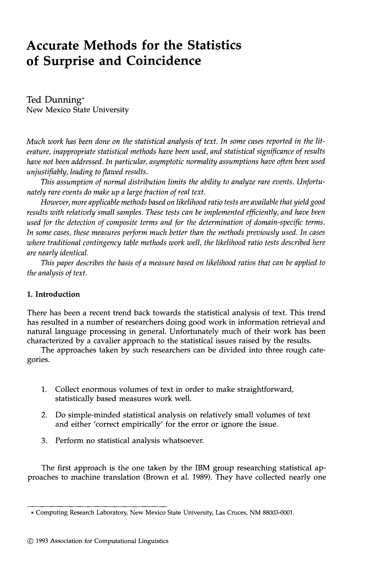# **Accurate Methods for the Statistics of Surprise and Coincidence**

Ted Dunning\* New Mexico State University

*Much work has been done on the statistical analysis of text. In some cases reported in the literature, inappropriate statistical methods have been used, and statistical significance of results have not been addressed. In particular, asymptotic normality assumptions have often been used unjustifiably, leading to flawed results.* 

*This assumption of normal distribution limits the ability to analyze rare events. Unfortunately rare events do make up a large fraction of real text.* 

*However, more applicable methods based on likelihood ratio tests are available that yield good results with relatively small samples. These tests can be implemented efficiently, and have been used for the detection of composite terms and for the determination of domain-specific terms. In some cases, these measures perform much better than the methods previously used. In cases where traditional contingency table methods work well, the likelihood ratio tests described here are nearly identical.* 

*This paper describes the basis of a measure based on likelihood ratios that can be applied to the analysis of text.* 

# **1. Introduction**

There has been a recent trend back towards the statistical analysis of text. This trend has resulted in a number of researchers doing good work in information retrieval and natural language processing in general. Unfortunately much of their work has been characterized by a cavalier approach to the statistical issues raised by the results.

The approaches taken by such researchers can be divided into three rough categories.

- . Collect enormous volumes of text in order to make straightforward, statistically based measures work well.
- . Do simple-minded statistical analysis on relatively small volumes of text and either 'correct empirically' for the error or ignore the issue.
- 3. Perform no statistical analysis whatsoever.

The first approach is the one taken by the IBM group researching statistical approaches to machine translation (Brown et al. 1989). They have collected nearly one

<sup>\*</sup> Computing Research Laboratory, New Mexico State University, Las Cruces, NM 88003-0001.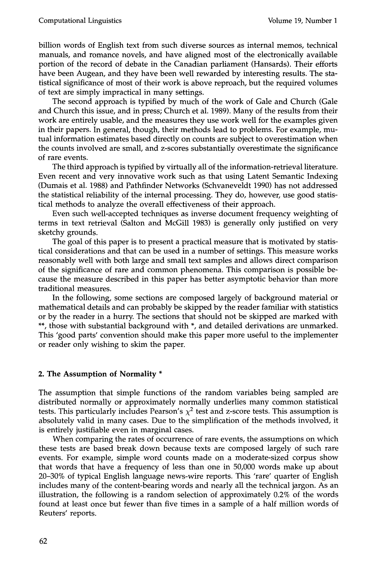billion words of English text from such diverse sources as internal memos, technical manuals, and romance novels, and have aligned most of the electronically available portion of the record of debate in the Canadian parliament (Hansards). Their efforts have been Augean, and they have been well rewarded by interesting results. The statistical significance of most of their work is above reproach, but the required volumes of text are simply impractical in many settings.

The second approach is typified by much of the work of Gale and Church (Gale and Church this issue, and in press; Church et al. 1989). Many of the results from their work are entirely usable, and the measures they use work well for the examples given in their papers. In general, though, their methods lead to problems. For example, mutual information estimates based directly on counts are subject to overestimation when the counts involved are small, and z-scores substantially overestimate the significance of rare events.

The third approach is typified by virtually all of the information-retrieval literature. Even recent and very innovative work such as that using Latent Semantic Indexing (Dumais et al. 1988) and Pathfinder Networks (Schvaneveldt 1990) has not addressed the statistical reliability of the internal processing. They do, however, use good statistical methods to analyze the overall effectiveness of their approach.

Even such well-accepted techniques as inverse document frequency weighting of terms in text retrieval (Salton and McGill 1983) is generally only justified on very sketchy grounds.

The goal of this paper is to present a practical measure that is motivated by statistical considerations and that can be used in a number of settings. This measure works reasonably well with both large and small text samples and allows direct comparison of the significance of rare and common phenomena. This comparison is possible because the measure described in this paper has better asymptotic behavior than more traditional measures.

In the following, some sections are composed largely of background material or mathematical details and can probably be skipped by the reader familiar with statistics or by the reader in a hurry. The sections that should not be skipped are marked with \*\*, those with substantial background with \*, and detailed derivations are unmarked. This 'good parts' convention should make this paper more useful to the implementer or reader only wishing to skim the paper.

## **2. The Assumption of Normality \***

The assumption that simple functions of the random variables being sampled are distributed normally or approximately normally underlies many common statistical tests. This particularly includes Pearson's  $\chi^2$  test and z-score tests. This assumption is absolutely valid in many cases. Due to the simplification of the methods involved, it is entirely justifiable even in marginal cases.

When comparing the rates of occurrence of rare events, the assumptions on which these tests are based break down because texts are composed largely of such rare events. For example, simple word counts made on a moderate-sized corpus show that words that have a frequency of less than one in 50,000 words make up about 20-30% of typical English language news-wire reports. This 'rare' quarter of English includes many of the content-bearing words and nearly all the technical jargon. As an illustration, the following is a random selection of approximately 0.2% of the words found at least once but fewer than five times in a sample of a half million words of Reuters' reports.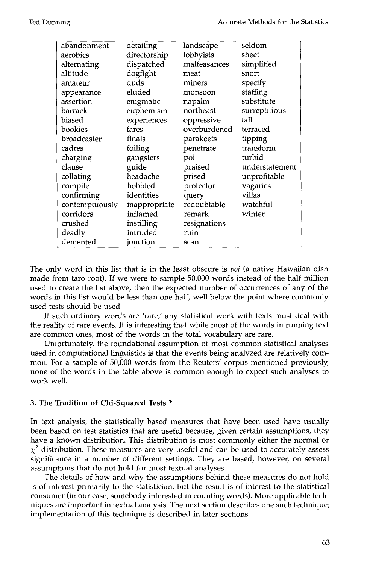| abandonment    | detailing     | <b>landscape</b> | seldom         |
|----------------|---------------|------------------|----------------|
| aerobics       | directorship  | lobbyists        | sheet          |
| alternating    | dispatched    | malfeasances     | simplified     |
| altitude       | dogfight      | meat             | snort          |
| amateur        | duds          | miners           | specify        |
| appearance     | eluded        | monsoon          | staffing       |
| assertion      | enigmatic     | napalm           | substitute     |
| barrack        | euphemism     | northeast        | surreptitious  |
| biased         | experiences   | oppressive       | tall           |
| bookies        | fares         | overburdened     | terraced       |
| broadcaster    | finals        | parakeets        | tipping        |
| cadres         | foiling       | penetrate        | transform      |
| charging       | gangsters     | poi              | turbid         |
| clause         | guide         | praised          | understatement |
| collating      | headache      | prised           | unprofitable   |
| compile        | hobbled       | protector        | vagaries       |
| confirming     | identities    | query            | villas         |
| contemptuously | inappropriate | redoubtable      | watchful       |
| corridors      | inflamed      | remark           | winter         |
| crushed        | instilling    | resignations     |                |
| deadly         | intruded      | ruin             |                |
| demented       | junction      | scant            |                |
|                |               |                  |                |

The only word in this list that is in the least obscure is *poi* (a native Hawaiian dish made from taro root). If we were to sample 50,000 words instead of the half million used to create the list above, then the expected number of occurrences of any of the words in this list would be less than one half, well below the point where commonly used tests should be used.

If such ordinary words are 'rare,' any statistical work with texts must deal with the reality of rare events. It is interesting that while most of the words in running text are common ones, most of the words in the total vocabulary are rare.

Unfortunately, the foundational assumption of most common statistical analyses used in computational linguistics is that the events being analyzed are relatively common. For a sample of 50,000 words from the Reuters' corpus mentioned previously, none of the words in the table above is common enough to expect such analyses to work well.

# **3. The Tradition of Chi-Squared Tests \***

In text analysis, the statistically based measures that have been used have usually been based on test statistics that are useful because, given certain assumptions, they have a known distribution. This distribution is most commonly either the normal or  $\chi^2$  distribution. These measures are very useful and can be used to accurately assess significance in a number of different settings. They are based, however, on several assumptions that do not hold for most textual analyses.

The details of how and why the assumptions behind these measures do not hold is of interest primarily to the statistician, but the result is of interest to the statistical consumer (in our case, somebody interested in counting words). More applicable techniques are important in textual analysis. The next section describes one such technique; implementation of this technique is described in later sections.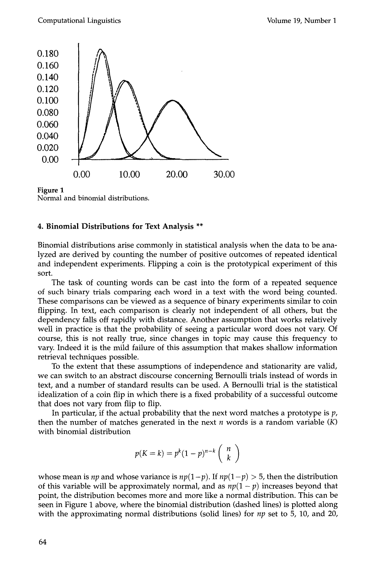

**Figure 1**  Normal and binomial distributions.

## **4. Binomial Distributions for Text Analysis \*\***

Binomial distributions arise commonly in statistical analysis when the data to be analyzed are derived by counting the number of positive outcomes of repeated identical and independent experiments. Flipping a coin is the prototypical experiment of this sort.

The task of counting words can be cast into the form of a repeated sequence of such binary trials comparing each word in a text with the word being counted. These comparisons can be viewed as a sequence of binary experiments similar to coin flipping. In text, each comparison is clearly not independent of all others, but the dependency falls off rapidly with distance. Another assumption that works relatively well in practice is that the probability of seeing a particular word does not vary. Of course, this is not really true, since changes in topic may cause this frequency to vary. Indeed it is the mild failure of this assumption that makes shallow information retrieval techniques possible.

To the extent that these assumptions of independence and stationarity are valid, we can switch to an abstract discourse concerning Bernoulli trials instead of words in text, and a number of standard results can be used. A Bernoulli trial is the statistical idealization of a coin flip in which there is a fixed probability of a successful outcome that does not vary from flip to flip.

In particular, if the actual probability that the next word matches a prototype is  $p$ , then the number of matches generated in the next  $n$  words is a random variable  $(K)$ with binomial distribution

$$
p(K=k) = p^{k}(1-p)^{n-k} \binom{n}{k}
$$

whose mean is *np* and whose variance is  $np(1-p)$ . If  $np(1-p) > 5$ , then the distribution of this variable will be approximately normal, and as  $np(1-p)$  increases beyond that point, the distribution becomes more and more like a normal distribution. This can be seen in Figure 1 above, where the binomial distribution (dashed lines) is plotted along with the approximating normal distributions (solid lines) for *np* set to 5, 10, and 20,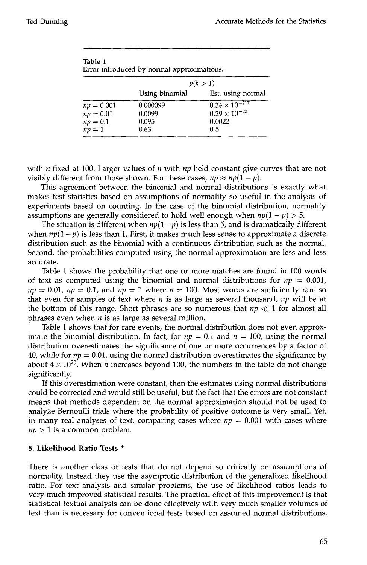| Error introduced by normal approximations. |                |                         |  |  |  |  |
|--------------------------------------------|----------------|-------------------------|--|--|--|--|
|                                            | p(k>1)         |                         |  |  |  |  |
|                                            | Using binomial | Est. using normal       |  |  |  |  |
| $np = 0.001$                               | 0.000099       | $0.34 \times 10^{-217}$ |  |  |  |  |
| $np=0.01$                                  | 0.0099         | $0.29 \times 10^{-22}$  |  |  |  |  |
| $np = 0.1$                                 | 0.095          | 0.0022                  |  |  |  |  |
| $np = 1$                                   | 0.63           | 0.5                     |  |  |  |  |

| Table 1                                    |  |
|--------------------------------------------|--|
| Error introduced by normal approximations. |  |

with n fixed at 100. Larger values of n with *np* held constant give curves that are not visibly different from those shown. For these cases,  $np \approx np(1-p)$ .

This agreement between the binomial and normal distributions is exactly what makes test statistics based on assumptions of normality so useful in the analysis of experiments based on counting. In the case of the binomial distribution, normality assumptions are generally considered to hold well enough when  $np(1 - p) > 5$ .

The situation is different when  $np(1-p)$  is less than 5, and is dramatically different when  $np(1-p)$  is less than 1. First, it makes much less sense to approximate a discrete distribution such as the binomial with a continuous distribution such as the normal. Second, the probabilities computed using the normal approximation are less and less accurate.

Table 1 shows the probability that one or more matches are found in 100 words of text as computed using the binomial and normal distributions for  $np = 0.001$ ,  $np = 0.01$ ,  $np = 0.1$ , and  $np = 1$  where  $n = 100$ . Most words are sufficiently rare so that even for samples of text where n is as large as several thousand, *np* will be at the bottom of this range. Short phrases are so numerous that  $np \ll 1$  for almost all phrases even when  $n$  is as large as several million.

Table 1 shows that for rare events, the normal distribution does not even approximate the binomial distribution. In fact, for  $np = 0.1$  and  $n = 100$ , using the normal distribution overestimates the significance of one or more occurrences by a factor of 40, while for  $np = 0.01$ , using the normal distribution overestimates the significance by about  $4 \times 10^{20}$ . When *n* increases beyond 100, the numbers in the table do not change significantly.

If this overestimation were constant, then the estimates using normal distributions could be corrected and would still be useful, but the fact that the errors are not constant means that methods dependent on the normal approximation should not be used to analyze Bernoulli trials where the probability of positive outcome is very small. Yet, in many real analyses of text, comparing cases where  $np = 0.001$  with cases where  $np > 1$  is a common problem.

# **5. Likelihood Ratio Tests \***

There is another class of tests that do not depend so critically on assumptions of normality. Instead they use the asymptotic distribution of the generalized likelihood ratio. For text analysis and similar problems, the use of likelihood ratios leads to very much improved statistical results. The practical effect of this improvement is that statistical textual analysis can be done effectively with very much smaller volumes of text than is necessary for conventional tests based on assumed normal distributions,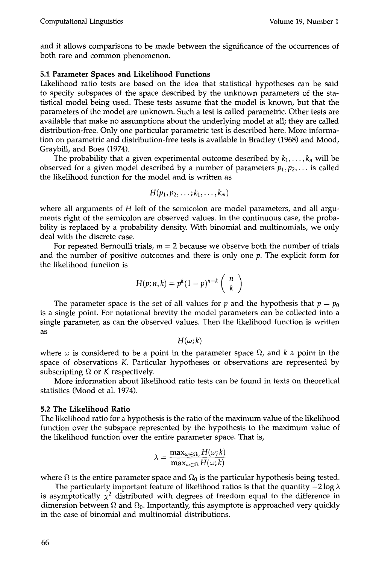and it allows comparisons to be made between the significance of the occurrences of both rare and common phenomenon.

### **5.1 Parameter Spaces and Likelihood Functions**

Likelihood ratio tests are based on the idea that statistical hypotheses can be said to specify subspaces of the space described by the unknown parameters of the statistical model being used. These tests assume that the model is known, but that the parameters of the model are unknown. Such a test is called parametric. Other tests are available that make no assumptions about the underlying model at all; they are called distribution-free. Only one particular parametric test is described here. More information on parametric and distribution-free tests is available in Bradley (1968) and Mood, Graybill, and Boes (1974).

The probability that a given experimental outcome described by  $k_1, \ldots, k_n$  will be observed for a given model described by a number of parameters  $p_1, p_2, \ldots$  is called the likelihood function for the model and is written as

$$
H(p_1,p_2,\ldots;k_1,\ldots,k_m)
$$

where all arguments of  $H$  left of the semicolon are model parameters, and all arguments right of the semicolon are observed values. In the continuous case, the probability is replaced by a probability density. With binomial and multinomials, we only deal with the discrete case.

For repeated Bernoulli trials,  $m = 2$  because we observe both the number of trials and the number of positive outcomes and there is only one  $p$ . The explicit form for the likelihood function is

$$
H(p;n,k)=p^k(1-p)^{n-k}\left(\begin{array}{c}n\\k\end{array}\right)
$$

The parameter space is the set of all values for p and the hypothesis that  $p = p_0$ is a single point. For notational brevity the model parameters can be collected into a single parameter, as can the observed values. Then the likelihood function is written as

 $H(\omega;k)$ 

where  $\omega$  is considered to be a point in the parameter space  $\Omega$ , and k a point in the space of observations K. Particular hypotheses or observations are represented by subscripting  $\Omega$  or K respectively.

More information about likelihood ratio tests can be found in texts on theoretical statistics (Mood et al. 1974).

#### **5.2 The Likelihood Ratio**

The likelihood ratio for a hypothesis is the ratio of the maximum value of the likelihood function over the subspace represented by the hypothesis to the maximum value of the likelihood function over the entire parameter space. That is,

$$
\lambda = \frac{\max_{\omega \in \Omega_0} H(\omega; k)}{\max_{\omega \in \Omega} H(\omega; k)}
$$

where  $\Omega$  is the entire parameter space and  $\Omega_0$  is the particular hypothesis being tested.

The particularly important feature of likelihood ratios is that the quantity  $-2 \log \lambda$ is asymptotically  $\chi^2$  distributed with degrees of freedom equal to the difference in dimension between  $\Omega$  and  $\Omega_0$ . Importantly, this asymptote is approached very quickly in the case of binomial and multinomial distributions.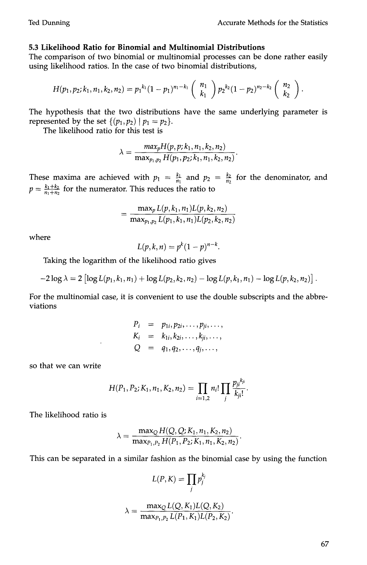## **5.3 Likelihood Ratio for Binomial and Multinomial Distributions**

The comparison of two binomial or multinomial processes can be done rather easily using likelihood ratios. In the case of two binomial distributions,

$$
H(p_1,p_2;k_1,n_1,k_2,n_2)=p_1^{k_1}(1-p_1)^{n_1-k_1}\left(\begin{array}{c}n_1\\k_1\end{array}\right)p_2^{k_2}(1-p_2)^{n_2-k_2}\left(\begin{array}{c}n_2\\k_2\end{array}\right).
$$

The hypothesis that the two distributions have the same underlying parameter is represented by the set  $\{(p_1, p_2) | p_1 = p_2\}.$ 

The likelihood ratio for this test is

$$
\lambda = \frac{max_p H(p, p; k_1, n_1, k_2, n_2)}{\max_{p_1, p_2} H(p_1, p_2; k_1, n_1, k_2, n_2)}.
$$

These maxima are achieved with  $p_1 = \frac{k_1}{n_1}$  and  $p_2 = \frac{k_2}{n_2}$  for the denominator, and  $p = \frac{k_1 + k_2}{n_1 + n_2}$  for the numerator. This reduces the ratio to

$$
= \frac{\max_p L(p, k_1, n_1) L(p, k_2, n_2)}{\max_{p_1, p_2} L(p_1, k_1, n_1) L(p_2, k_2, n_2)}
$$

where

$$
L(p,k,n) = p^k (1-p)^{n-k}.
$$

Taking the logarithm of the likelihood ratio gives

$$
-2\log\lambda = 2\left[\log L(p_1, k_1, n_1) + \log L(p_2, k_2, n_2) - \log L(p, k_1, n_1) - \log L(p, k_2, n_2)\right].
$$

For the multinomial case, it is convenient to use the double subscripts and the abbreviations

$$
P_i = p_{1i}, p_{2i}, \ldots, p_{ji}, \ldots,
$$
  
\n
$$
K_i = k_{1i}, k_{2i}, \ldots, k_{ji}, \ldots,
$$
  
\n
$$
Q = q_1, q_2, \ldots, q_j, \ldots,
$$

so that we can write

$$
H(P_1, P_2; K_1, n_1, K_2, n_2) = \prod_{i=1,2} n_i! \prod_j \frac{p_{ji}^{K_{ji}}}{k_{ji}!}.
$$

The likelihood ratio is

$$
\lambda = \frac{\max_Q H(Q, Q; K_1, n_1, K_2, n_2)}{\max_{P_1, P_2} H(P_1, P_2; K_1, n_1, K_2, n_2)}.
$$

This can be separated in a similar fashion as the binomial case by using the function

$$
L(P, K) = \prod_{j} p_j^{k_j}
$$

$$
\lambda = \frac{\max_{Q} L(Q, K_1) L(Q, K_2)}{\max_{P_1, P_2} L(P_1, K_1) L(P_2, K_2)}.
$$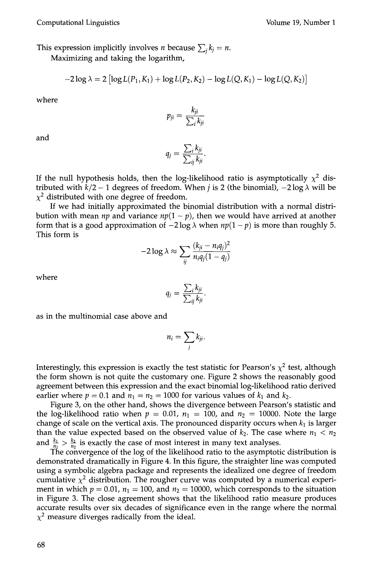This expression implicitly involves *n* because  $\sum_i k_i = n$ .

Maximizing and taking the logarithm,

$$
-2\log \lambda = 2\left[\log L(P_1, K_1) + \log L(P_2, K_2) - \log L(Q, K_1) - \log L(Q, K_2)\right]
$$

where

$$
p_{ji} = \frac{k_{ji}}{\sum_i k_{ji}}
$$

and

$$
q_j = \frac{\sum_i k_{ji}}{\sum_{ij} k_{ji}}.
$$

If the null hypothesis holds, then the log-likelihood ratio is asymptotically  $\chi^2$  distributed with  $k/2 - 1$  degrees of freedom. When j is 2 (the binomial),  $-2 \log \lambda$  will be  $\chi^2$  distributed with one degree of freedom.

If we had initially approximated the binomial distribution with a normal distribution with mean *np* and variance  $np(1 - p)$ , then we would have arrived at another form that is a good approximation of  $-2 \log \lambda$  when  $np(1-p)$  is more than roughly 5. This form is

$$
-2\log\lambda \approx \sum_{ij}\frac{(k_{ji}-n_iq_j)^2}{n_iq_j(1-q_j)}
$$

where

$$
q_j = \frac{\sum_i k_{ji}}{\sum_{ij} k_{ji}}.
$$

as in the multinomial case above and

$$
n_i=\sum_j k_{ji}.
$$

Interestingly, this expression is exactly the test statistic for Pearson's  $\chi^2$  test, although the form shown is not quite the customary one. Figure 2 shows the reasonably good agreement between this expression and the exact binomial log-likelihood ratio derived earlier where  $p = 0.1$  and  $n_1 = n_2 = 1000$  for various values of  $k_1$  and  $k_2$ .

Figure 3, on the other hand, shows the divergence between Pearson's statistic and the log-likelihood ratio when  $p = 0.01$ ,  $n_1 = 100$ , and  $n_2 = 10000$ . Note the large change of scale on the vertical axis. The pronounced disparity occurs when  $k_1$  is larger than the value expected based on the observed value of  $k_2$ . The case where  $n_1 < n_2$ and  $\frac{k_1}{n_1} > \frac{k_2}{n_2}$  is exactly the case of most interest in many text analyses.

The convergence of the log of the likelihood ratio to the asymptotic distribution is demonstrated dramatically in Figure 4. In this figure, the straighter line was computed using a symbolic algebra package and represents the idealized one degree of freedom cumulative  $\chi^2$  distribution. The rougher curve was computed by a numerical experiment in which  $p = 0.01$ ,  $n_1 = 100$ , and  $n_2 = 10000$ , which corresponds to the situation in Figure 3. The close agreement shows that the likelihood ratio measure produces accurate results over six decades of significance even in the range where the normal  $\chi^2$  measure diverges radically from the ideal.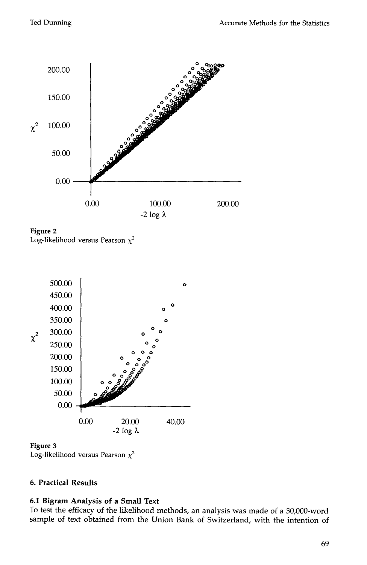

**Figure 2**  Log-likelihood versus Pearson  $\chi^2$ 



**Figure 3** 

Log-likelihood versus Pearson  $\chi^2$ 

# **6. Practical Results**

# **6.1 Bigram Analysis of a Small Text**

To test the efficacy of the likelihood methods, an analysis was made of a 30,000-word sample of text obtained from the Union Bank of Switzerland, with the intention of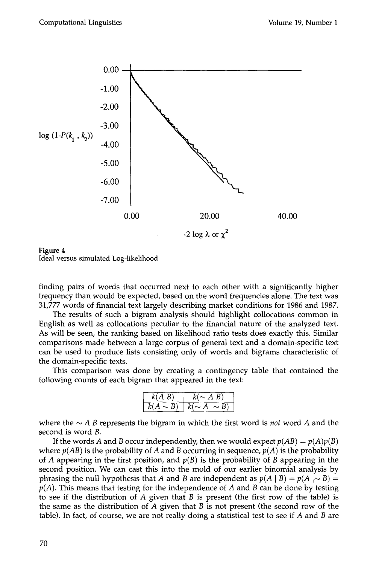

**Figure 4**  Ideal versus simulated Log-likelihood

finding pairs of words that occurred next to each other with a significantly higher frequency than would be expected, based on the word frequencies alone. The text was 31,777 words of financial text largely describing market conditions for 1986 and 1987.

The results of such a bigram analysis should highlight collocations common in English as well as collocations peculiar to the financial nature of the analyzed text. As will be seen, the ranking based on likelihood ratio tests does exactly this. Similar comparisons made between a large corpus of general text and a domain-specific text can be used to produce lists consisting only of words and bigrams characteristic of the domain-specific texts.

This comparison was done by creating a contingency table that contained the following counts of each bigram that appeared in the text:

| $k(A \ B)$    | $k(\sim A B)$      |  |  |
|---------------|--------------------|--|--|
| $k(A \sim B)$ | $k(\sim A \sim B)$ |  |  |

where the  $\sim$  A B represents the bigram in which the first word is *not* word A and the second is word B.

If the words A and B occur independently, then we would expect  $p(AB) = p(A)p(B)$ where  $p(AB)$  is the probability of A and B occurring in sequence,  $p(A)$  is the probability of A appearing in the first position, and  $p(B)$  is the probability of B appearing in the second position. We can cast this into the mold of our earlier binomial analysis by phrasing the null hypothesis that A and B are independent as  $p(A | B) = p(A | \sim B)$ *p(A).* This means that testing for the independence of A and B can be done by testing to see if the distribution of  $A$  given that  $B$  is present (the first row of the table) is the same as the distribution of  $A$  given that  $B$  is not present (the second row of the table). In fact, of course, we are not really doing a statistical test to see if  $A$  and  $B$  are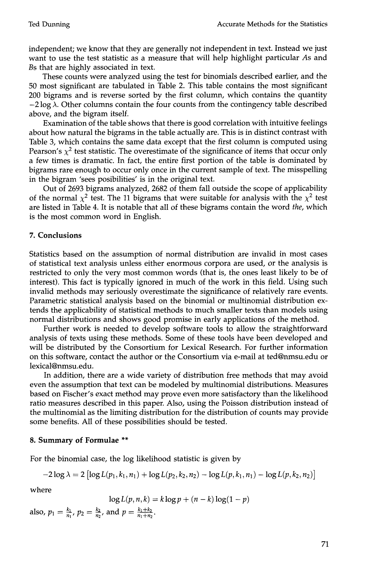independent; we know that they are generally not independent in text. Instead we just want to use the test statistic as a measure that will help highlight particular As and Bs that are highly associated in text.

These counts were analyzed using the test for binomials described earlier, and the 50 most significant are tabulated in Table 2. This table contains the most significant 200 bigrams and is reverse sorted by the first column, which contains the quantity  $-2 \log \lambda$ . Other columns contain the four counts from the contingency table described above, and the bigram itself.

Examination of the table shows that there is good correlation with intuitive feelings about how natural the bigrams in the table actually are. This is in distinct contrast with Table 3, which contains the same data except that the first column is computed using Pearson's  $\chi^2$  test statistic. The overestimate of the significance of items that occur only a few times is dramatic. In fact, the entire first portion of the table is dominated by bigrams rare enough to occur only once in the current sample of text. The misspelling in the bigram 'sees posibilities' is in the original text.

Out of 2693 bigrams analyzed, 2682 of them fall outside the scope of applicability of the normal  $\chi^2$  test. The 11 bigrams that were suitable for analysis with the  $\chi^2$  test are listed in Table 4. It is notable that all of these bigrams contain the word *the,* which is the most common word in English.

# **7. Conclusions**

Statistics based on the assumption of normal distribution are invalid in most cases of statistical text analysis unless either enormous corpora are used, or the analysis is restricted to only the very most common words (that is, the ones least likely to be of interest). This fact is typically ignored in much of the work in this field. Using such invalid methods may seriously overestimate the significance of relatively rare events. Parametric statistical analysis based on the binomial or multinomial distribution extends the applicability of statistical methods to much smaller texts than models using normal distributions and shows good promise in early applications of the method.

Further work is needed to develop software tools to allow the straightforward analysis of texts using these methods. Some of these tools have been developed and will be distributed by the Consortium for Lexical Research. For further information on this software, contact the author or the Consortium via e-mail at ted@nmsu.edu or lexical@nmsu.edu.

In addition, there are a wide variety of distribution free methods that may avoid even the assumption that text can be modeled by multinomial distributions. Measures based on Fischer's exact method may prove even more satisfactory than the likelihood ratio measures described in this paper. Also, using the Poisson distribution instead of the multinomial as the limiting distribution for the distribution of counts may provide some benefits. All of these possibilities should be tested.

# **8. Summary of Formulae \*\***

For the binomial case, the log likelihood statistic is given by

$$
-2\log\lambda = 2\left[\log L(p_1, k_1, n_1) + \log L(p_2, k_2, n_2) - \log L(p, k_1, n_1) - \log L(p, k_2, n_2)\right]
$$

where

$$
\log L(p, n, k) = k \log p + (n - k) \log(1 - p)
$$

also,  $p_1 = \frac{k_1}{n_1}$ ,  $p_2 = \frac{k_2}{n_2}$ , and  $p = \frac{k_1 + k_2}{n_1 + n_2}$ .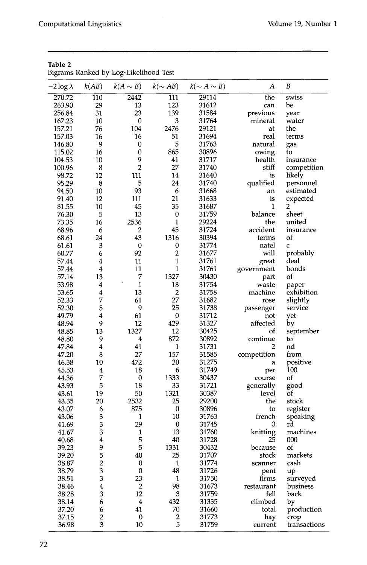|                  |                         | pigranis Kankeu by Log-Likelinoou Test |                         |                    |                  |                      |
|------------------|-------------------------|----------------------------------------|-------------------------|--------------------|------------------|----------------------|
| -2 log $\lambda$ | k(AB)                   | $k(A \sim B)$                          | $k(\sim AB)$            | $k(\sim A \sim B)$ | $\boldsymbol{A}$ | B                    |
| 270.72           | 110                     | 2442                                   | 111                     | 29114              | the              | swiss                |
| 263.90           | 29                      | 13                                     | 123                     | 31612              | can              | be                   |
| 256.84           | 31                      | 23                                     | 139                     | 31584              | previous         | year                 |
| 167.23           | 10                      | $\bf{0}$                               | 3                       | 31764              | mineral          | water                |
| 157.21           | 76                      | 104                                    | 2476                    | 29121              | at               | the                  |
| 157.03           | 16                      | 16                                     | 51                      | 31694              | real             | terms                |
| 146.80           | 9                       | 0                                      | 5                       | 31763              | natural          | gas                  |
| 115.02           | 16                      | 0                                      | 865                     | 30896              | owing            | to                   |
| 104.53           | 10                      | 9                                      | 41                      | 31717              | health           | insurance            |
| 100.96           | 8                       | $\overline{2}$                         | 27                      | 31740              | stiff            | competition          |
| 98.72            | 12                      | 111                                    | 14                      | 31640              | is               | likely               |
| 95.29            | 8                       | 5                                      | 24                      | 31740              | qualified        | personnel            |
| 94.50            | 10                      | 93                                     | 6                       | 31668              | an               | estimated            |
| 91.40            | 12                      | 111                                    | 21                      | 31633              | is               | expected             |
| 81.55            | 10                      | 45                                     | 35                      | 31687              | $\mathbf{1}$     | 2                    |
| 76.30            | 5                       | 13                                     | $\boldsymbol{0}$        | 31759              | balance          | sheet                |
| 73.35            | 16                      | 2536                                   | $\mathbf{1}$            | 29224              | the              | united               |
| 68.96            | 6                       | $\overline{\mathbf{c}}$                | 45                      | 31724              | accident         | insurance            |
| 68.61            | 24                      | 43                                     | 1316                    | 30394              | terms            | of                   |
| 61.61            | 3                       | $\boldsymbol{0}$                       | 0                       | 31774              | natel            | $\mathbf c$          |
|                  |                         |                                        | $\overline{\mathbf{c}}$ |                    | will             | probably             |
| 60.77            | 6                       | 92                                     | $\mathbf{1}$            | 31677              |                  | deal                 |
| 57.44            | 4                       | 11                                     |                         | 31761              | great            |                      |
| 57.44            | 4                       | 11                                     | $\mathbf{1}$            | 31761              | government       | bonds                |
| 57.14            | 13                      | 7                                      | 1327                    | 30430              | part             | of                   |
| 53.98            | 4                       | $\mathbf{1}$                           | 18                      | 31754              | waste            | paper                |
| 53.65            | 4                       | 13                                     | $\overline{c}$          | 31758              | machine          | exhibition           |
| 52.33            | 7                       | 61                                     | 27                      | 31682              | rose             | slightly             |
| 52.30            | 5                       | 9                                      | 25                      | 31738              | passenger        | service              |
| 49.79            | 4                       | 61                                     | $\bf{0}$                | 31712              | not              | yet                  |
| 48.94            | 9                       | 12                                     | 429                     | 31327              | affected         | by                   |
| 48.85            | 13                      | 1327                                   | 12                      | 30425              | of               | september            |
| 48.80            | 9                       | 4                                      | 872                     | 30892              | continue         | to                   |
| 47.84            | 4                       | 41                                     | 1                       | 31731              | 2                | nd                   |
| 47.20            | 8                       | 27                                     | 157                     | 31585              | competition      | from                 |
| 46.38            | 10                      | 472                                    | 20                      | 31275              | a                | positive             |
| 45.53            | $\bf 4$                 | 18                                     | 6                       | 31749              | per              | 100                  |
| 44.36            | 7                       | 0                                      | 1333                    | 30437              | course           | of                   |
| 43.93            | 5                       | 18                                     | 33                      | 31721              | generally        | good                 |
| 43.61            | 19                      | 50                                     | 1321                    | 30387              | level            | of                   |
| 43.35            | 20                      | 2532                                   | 25                      | 29200              | the              | stock                |
| 43.07            | 6                       | 875                                    | $\bf{0}$                | 30896              | to               | register             |
| 43.06            | 3                       | $\mathbf{1}$                           | 10                      | 31763              | french           | speaking             |
| 41.69            | 3                       | 29                                     | $\bf{0}$                | 31745              | 3                | rd                   |
| 41.67            | 3                       | 1                                      | 13                      | 31760              | knitting         | machines             |
| 40.68            | $\boldsymbol{4}$        | 5                                      | 40                      | 31728              | 25               | 000                  |
| 39.23            |                         | 5                                      | 1331                    | 30432              | because          | of                   |
| 39.20            | 9<br>5                  | 40                                     | 25                      | 31707              | stock            | markets              |
| 38.87            | $\overline{2}$          | 0                                      | 1                       | 31774              | scanner          | cash                 |
| 38.79            | 3                       | $\bf{0}$                               | 48                      | 31726              | pent             | up                   |
| 38.51            | $\overline{\mathbf{3}}$ | 23                                     | 1                       | 31750              | firms            | surveyed             |
| 38.46            | $\overline{\mathbf{4}}$ | $\boldsymbol{2}$                       | 98                      | 31673              | restaurant       | business             |
| 38.28            | 3                       | 12                                     | 3                       | 31759              | fell             | back                 |
| 38.14            | 6                       | $\boldsymbol{4}$                       | 432                     | 31335              | climbed          | by                   |
| 37.20            | 6                       | 41                                     | 70                      | 31660              | total            | production           |
| 37.15            | $\overline{\mathbf{c}}$ | 0                                      | $\overline{\mathbf{c}}$ | 31773              | hay              |                      |
| 36.98            | 3                       | 10                                     | 5                       | 31759              | current          | crop<br>transactions |
|                  |                         |                                        |                         |                    |                  |                      |

**Table 2**  Bigrams Ranked by Log-Likelihood Test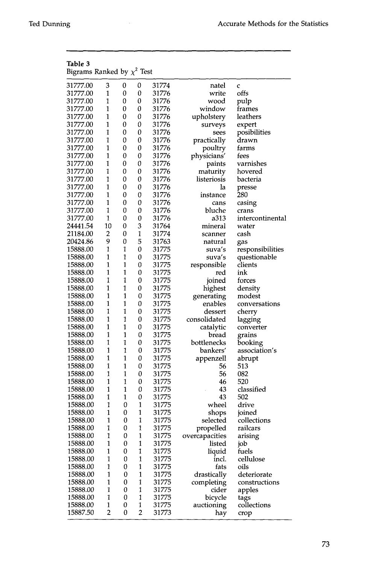| Table 3<br>Bigrams Ranked by $\chi^2$ Test |                |              |                         |       |                |                  |
|--------------------------------------------|----------------|--------------|-------------------------|-------|----------------|------------------|
| 31777.00                                   | 3              | 0            | 0                       | 31774 | natel          | C                |
| 31777.00                                   | 1              | 0            | 0                       | 31776 | write          | offs             |
| 31777.00                                   | 1              | 0            | 0                       | 31776 | wood           | pulp             |
| 31777.00                                   | $\mathbf{1}$   | 0            | 0                       | 31776 | window         | frames           |
| 31777.00                                   | $\mathbf{1}$   | 0            | 0                       | 31776 | upholstery     | leathers         |
| 31777.00                                   | $\mathbf{1}$   | 0            | 0                       | 31776 | surveys        | expert           |
| 31777.00                                   | $\mathbf{1}$   | 0            | 0                       | 31776 | sees           | posibilities     |
| 31777.00                                   | 1              | 0            | 0                       | 31776 | practically    | drawn            |
| 31777.00                                   | 1              | 0            | 0                       | 31776 | poultry        | farms            |
| 31777.00                                   | $\mathbf{1}$   | 0            | 0                       | 31776 | physicians'    | tees             |
| 31777.00                                   | 1              | 0            | 0                       | 31776 | paints         | varnishes        |
| 31777.00                                   | 1              | 0            | 0                       | 31776 | maturity       | hovered          |
| 31777.00                                   | 1              | 0            | 0                       | 31776 | listeriosis    | bacteria         |
| 31777.00                                   | $\mathbf{1}$   | 0            | 0                       | 31776 | la             | presse           |
| 31777.00                                   | 1              | 0            | 0                       | 31776 | instance       | 280              |
| 31777.00                                   | 1              | 0            | 0                       | 31776 | cans           | casing           |
| 31777.00                                   | 1              | 0            | 0                       | 31776 | bluche         | crans            |
| 31777.00                                   | 1              | 0            | 0                       | 31776 | a313           | intercontinental |
| 24441.54                                   | 10             | 0            | 3                       |       |                |                  |
|                                            |                |              |                         | 31764 | mineral        | water            |
| 21184.00                                   | 2              | 0            | 1                       | 31774 | scanner        | cash             |
| 20424.86                                   | 9              | 0            | 5                       | 31763 | natural        | gas              |
| 15888.00                                   | 1              | 1            | 0                       | 31775 | suva′s         | responsibilities |
| 15888.00                                   | 1              | 1            | 0                       | 31775 | suva′s         | questionable     |
| 15888.00                                   | $\mathbf{1}$   | 1            | 0                       | 31775 | responsible    | clients          |
| 15888.00                                   | 1              | 1            | 0                       | 31775 | red            | ink              |
| 15888.00                                   | 1              | 1            | 0                       | 31775 | joined         | torces           |
| 15888.00                                   | 1              | 1            | 0                       | 31775 | highest        | density          |
| 15888.00                                   | $\mathbf{1}$   | $\mathbf{1}$ | 0                       | 31775 | generating     | modest           |
| 15888.00                                   | 1              | 1            | 0                       | 31775 | enables        | conversations    |
| 15888.00                                   | 1              | 1            | 0                       | 31775 | dessert        | cherry           |
| 15888.00                                   | 1              | 1            | 0                       | 31775 | consolidated   | lagging          |
| 15888.00                                   | 1              | 1            | 0                       | 31775 | catalytic      | converter        |
| 15888.00                                   | 1              | $\mathbf{1}$ | 0                       | 31775 | bread          | grains           |
| 15888.00                                   | 1              | 1            | 0                       | 31775 | bottlenecks    | booking          |
| 15888.00                                   | 1              | 1            | 0                       | 31775 | bankers′       | association's    |
| 15888.00                                   | $\mathbf{1}$   | $\mathbf{1}$ | 0                       | 31775 | appenzell      | abrupt           |
| 15888.00                                   | 1              | $\mathbf{1}$ | 0                       | 31775 | 56             | 513              |
| 15888.00                                   | 1              | 1            | 0                       | 31775 | 56             | 082              |
| 15888.00                                   | 1              | 1            | 0                       | 31775 | 46             | 520              |
| 15888.00                                   | 1              | 1            | 0                       | 31775 | 43             | classified       |
| 15888.00                                   | 1              | 1            | 0                       | 31775 | 43             | 502              |
| 15888.00                                   | 1              | 0            | 1                       | 31775 | wheel          | drive            |
| 15888.00                                   | 1              | 0            | 1                       | 31775 | shops          | joined           |
| 15888.00                                   | 1              | 0            | 1                       | 31775 | selected       | collections      |
| 15888.00                                   | 1              | 0            | $\mathbf{1}$            | 31775 | propelled      | railcars         |
| 15888.00                                   | $\mathbf{1}$   | 0            | $\mathbf{1}$            | 31775 | overcapacities | arising          |
| 15888.00                                   | $\mathbf{1}$   | 0            | 1                       | 31775 | listed         | job              |
| 15888.00                                   | 1              | 0            | $\mathbf{1}$            | 31775 | liquid         | fuels            |
| 15888.00                                   | 1              | 0            | 1                       | 31775 | incl.          | cellulose        |
| 15888.00                                   | $\mathbf{1}$   | 0            | $\mathbf{1}$            | 31775 | fats           | oils             |
| 15888.00                                   | $\mathbf{1}$   | 0            | 1                       | 31775 | drastically    | deteriorate      |
| 15888.00                                   | 1              | 0            | 1                       | 31775 | completing     | constructions    |
| 15888.00                                   | 1              | 0            | 1                       | 31775 | cider          | apples           |
| 15888.00                                   | 1              | 0            | 1                       | 31775 | bicycle        | tags             |
| 15888.00                                   | $\mathbf{1}$   | 0            | 1                       | 31775 | auctioning     | collections      |
| 15887.50                                   | $\overline{c}$ | 0            | $\overline{\mathbf{c}}$ | 31773 | hay            | crop             |
|                                            |                |              |                         |       |                |                  |